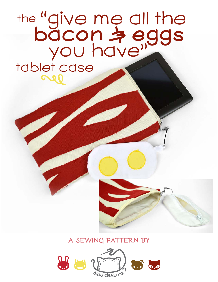the "give me all the **bacon & eggs** you have" tablet case

## **a sewing pattern by**

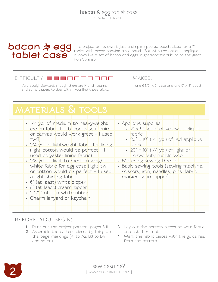SEWING TUTORIAL

# **tablet case**

**bdcon**  $\Rightarrow$  **egg** This project on its own is just a simple zippered pouch, sized for a 7" tablet with accompanying small pouch. But with the optional applique it looks like a set of bacon and eggs, a gastronomic tribute to the great Ron Swanson

#### $\Box$

Very straightforward, though there are French seams one 6 1/2"  $\times$  9" case and one 5"  $\times$  3" pouch and some zippers to deal with if you find those tricky.

makes:

| • 1/4 yd. of medium to heavyweight            | · Appliqué supplies:                                         |
|-----------------------------------------------|--------------------------------------------------------------|
| cream fabric for bacon case (denim            | • 2" x 5" scrap of yellow appliqué                           |
| or canvas would work great - I used<br>twill) | fabric<br>$\cdot$ 20" $\times$ 10" (1/4 yd.) of red appliqué |
| • 1/4 yd. of lightweight fabric for lining    | fabric                                                       |
| (light cotton would be perfect - I            | • 20" $\times$ 10" (1/4 yd.) of light or                     |
| used polyester lining fabric)                 | heavy duty fusible web                                       |
| . 1/8 yd. of light to medium weight           | • Matching sewing thread                                     |
| white fabric for egg case (light twill        | · Basic sewing tools (sewing machine,                        |
| or cotton would be perfect - I used           | scissors, <i>iron</i> , needles, pins, fabric                |
| a light shirting fabric)                      | marker, seam ripper)                                         |
| · 6" (at least) white zipper                  |                                                              |
| · 8" (at least) cream zipper                  |                                                              |
| • 2 1/2" of thin white ribbon                 |                                                              |
| • Charm lanyard or keychain                   |                                                              |
|                                               |                                                              |
|                                               |                                                              |

#### **before you begin:**

- **1.** Print out the project pattern, pages 8-11
- **2.** Assemble the pattern pieces by lining up the page markings (A1 to A2, B3 to B4, and so on)
- **3.** Lay out the pattern pieces on your fabric and cut them out
- **4.** Mark the fabric pieces with the guidelines from the pattern

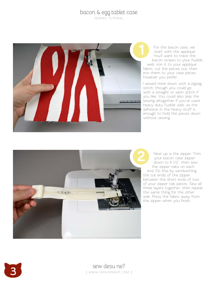sewing tutorial



For the bacon case, we start with the appliqué. You'll want to trace the bacon stripes to your fusible web, iron it to your appliqué fabric, cut the pieces out, then iron them to your case pieces however you prefer.

I sewed mine down with a zigzag stitch, though you could go with a straight or satin stitch if you like. You could also skip the sewing altogether if you've used heavy duty fusible web, as the adhesive in the heavy stuff is enough to hold the pieces down without sewing.



Next up is the zipper. Trim your bacon case zipper down to 6 1/2", then sew the zipper tabs on each end. Do this by sandwiching the cut ends of the zipper between the short ends of two of your zipper tab pieces. Sew all three layers together, then repeat the same thing for the other side. Press the fabric away from For the bacon case, <br>
start with the appliq<br>
You'll want to trace to bacon stripes to your<br>
web, iron it to your applic<br>
fabric, cut the pieces out, t<br>
iron them to your case piec<br>
however you prefer.<br>
I sewed mine down wi

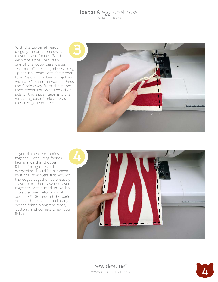sewing tutorial

With the zipper all ready to go, you can then sew it to your case fabrics. Sand wich the zipper between one of the outer case pieces and one of the lining pieces, lining up the raw edge with the zipper tape. Sew all the layers together with a 1/4" seam allowance. Press the fabric away from the zipper, then repeat this with the other side of the zipper tape and the remaining case fabrics – that's the step you see here.



Layer all the case fabrics together with lining fabrics facing inward and outer fabrics facing outward – everything should be arranged as if the case were finished. Pin the edges together as precisely as you can, then sew the layers together with a medium width zigzag; a seam allowance at about 1/8". Go around the perim eter of the case, then clip any excess fabric along the sides, bottom, and corners when you finish.



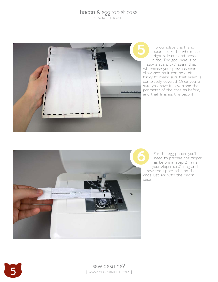sewing tutorial



To complete the French seam, turn the whole case right side out and press it flat. The goal here is to sew a scant 3/8" seam that will encase your previous seam allowance, so it can be a bit tricky to make sure that seam is completely covered. Once you're sure you have it, sew along the perimeter of the case as before, and that finishes the bacon!



For the egg pouch, you'll need to prepare the zipper as before in step 2. Trim your zipper to 4" long and sew the zipper tabs on the ends just like with the bacon case.

**5** sew desu ne?<br>I www.cholyknight.co | www.cholyknight.com |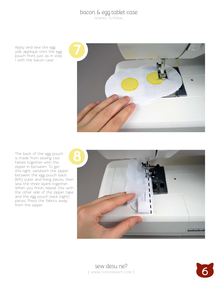sewing tutorial

Apply and sew the egg yolk appliqué onto the egg pouch front just as in step 1 with the bacon case.



The back of the egg pouch is made from sewing two halves together with the zipper in between. To get this right, sandwich the zipper between the egg pouch back (left) outer and lining pieces, then sew the three layers together. When you finish, repeat this with the other side of the zipper tape and the egg pouch back (right) pieces. Press the fabrics away from the zipper.



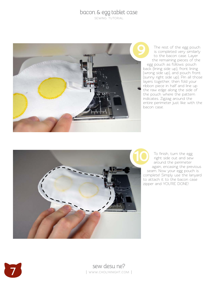sewing tutorial



The rest of the egg pouch is completed very similarly to the bacon case. Layer the remaining pieces of the egg pouch as follows: pouch back (lining side up), front lining (wrong side up), and pouch front (sunny right side up). Pin all those layers together, then fold your ribbon piece in half and line up the raw edge along the side of the pouch where the pattern indicates. Zigzag around the entire perimeter just like with the bacon case.



To finish, turn the egg right side out and sew around the perimeter again, encasing the previous seam. Now your egg pouch is complete! Simply use the lanyard to attach it to the bacon case zipper and YOU'RE DONE!

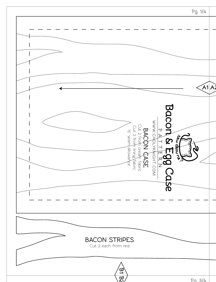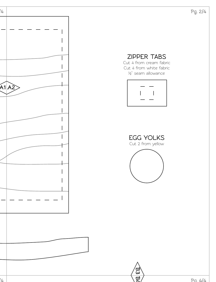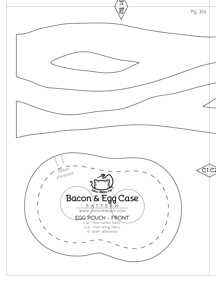